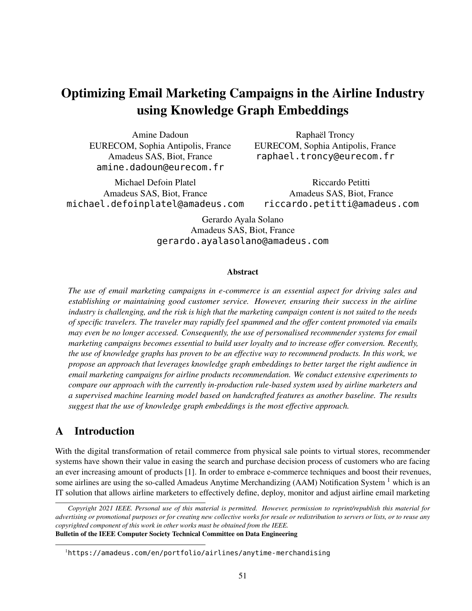# Optimizing Email Marketing Campaigns in the Airline Industry using Knowledge Graph Embeddings

Amine Dadoun EURECOM, Sophia Antipolis, France Amadeus SAS, Biot, France amine.dadoun@eurecom.fr

Michael Defoin Platel Amadeus SAS, Biot, France michael.defoinplatel@amadeus.com

Raphaël Troncy EURECOM, Sophia Antipolis, France raphael.troncy@eurecom.fr

Riccardo Petitti Amadeus SAS, Biot, France riccardo.petitti@amadeus.com

Gerardo Ayala Solano Amadeus SAS, Biot, France gerardo.ayalasolano@amadeus.com

#### Abstract

*The use of email marketing campaigns in e-commerce is an essential aspect for driving sales and establishing or maintaining good customer service. However, ensuring their success in the airline industry is challenging, and the risk is high that the marketing campaign content is not suited to the needs of specific travelers. The traveler may rapidly feel spammed and the offer content promoted via emails may even be no longer accessed. Consequently, the use of personalised recommender systems for email marketing campaigns becomes essential to build user loyalty and to increase offer conversion. Recently, the use of knowledge graphs has proven to be an effective way to recommend products. In this work, we propose an approach that leverages knowledge graph embeddings to better target the right audience in email marketing campaigns for airline products recommendation. We conduct extensive experiments to compare our approach with the currently in-production rule-based system used by airline marketers and a supervised machine learning model based on handcrafted features as another baseline. The results suggest that the use of knowledge graph embeddings is the most effective approach.*

# A Introduction

With the digital transformation of retail commerce from physical sale points to virtual stores, recommender systems have shown their value in easing the search and purchase decision process of customers who are facing an ever increasing amount of products [1]. In order to embrace e-commerce techniques and boost their revenues, some airlines are using the so-called Amadeus Anytime Merchandizing (AAM) Notification System <sup>1</sup> which is an IT solution that allows airline marketers to effectively define, deploy, monitor and adjust airline email marketing

*Copyright 2021 IEEE. Personal use of this material is permitted. However, permission to reprint/republish this material for advertising or promotional purposes or for creating new collective works for resale or redistribution to servers or lists, or to reuse any copyrighted component of this work in other works must be obtained from the IEEE.* Bulletin of the IEEE Computer Society Technical Committee on Data Engineering

<sup>1</sup>https://amadeus.com/en/portfolio/airlines/anytime-merchandising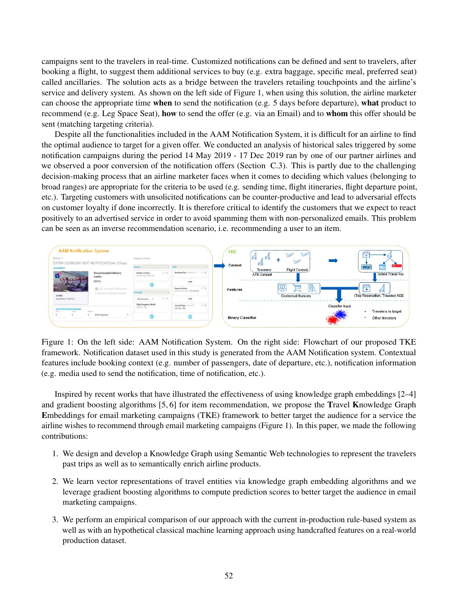campaigns sent to the travelers in real-time. Customized notifications can be defined and sent to travelers, after booking a flight, to suggest them additional services to buy (e.g. extra baggage, specific meal, preferred seat) called ancillaries. The solution acts as a bridge between the travelers retailing touchpoints and the airline's service and delivery system. As shown on the left side of Figure 1, when using this solution, the airline marketer can choose the appropriate time when to send the notification (e.g. 5 days before departure), what product to recommend (e.g. Leg Space Seat), how to send the offer (e.g. via an Email) and to whom this offer should be sent (matching targeting criteria).

Despite all the functionalities included in the AAM Notification System, it is difficult for an airline to find the optimal audience to target for a given offer. We conducted an analysis of historical sales triggered by some notification campaigns during the period 14 May 2019 - 17 Dec 2019 ran by one of our partner airlines and we observed a poor conversion of the notification offers (Section C.3). This is partly due to the challenging decision-making process that an airline marketer faces when it comes to deciding which values (belonging to broad ranges) are appropriate for the criteria to be used (e.g. sending time, flight itineraries, flight departure point, etc.). Targeting customers with unsolicited notifications can be counter-productive and lead to adversarial effects on customer loyalty if done incorrectly. It is therefore critical to identify the customers that we expect to react positively to an advertised service in order to avoid spamming them with non-personalized emails. This problem can be seen as an inverse recommendation scenario, i.e. recommending a user to an item.



Figure 1: On the left side: AAM Notification System. On the right side: Flowchart of our proposed TKE framework. Notification dataset used in this study is generated from the AAM Notification system. Contextual features include booking context (e.g. number of passengers, date of departure, etc.), notification information (e.g. media used to send the notification, time of notification, etc.).

Inspired by recent works that have illustrated the effectiveness of using knowledge graph embeddings [2–4] and gradient boosting algorithms [5, 6] for item recommendation, we propose the Travel Knowledge Graph Embeddings for email marketing campaigns (TKE) framework to better target the audience for a service the airline wishes to recommend through email marketing campaigns (Figure 1). In this paper, we made the following contributions:

- 1. We design and develop a Knowledge Graph using Semantic Web technologies to represent the travelers past trips as well as to semantically enrich airline products.
- 2. We learn vector representations of travel entities via knowledge graph embedding algorithms and we leverage gradient boosting algorithms to compute prediction scores to better target the audience in email marketing campaigns.
- 3. We perform an empirical comparison of our approach with the current in-production rule-based system as well as with an hypothetical classical machine learning approach using handcrafted features on a real-world production dataset.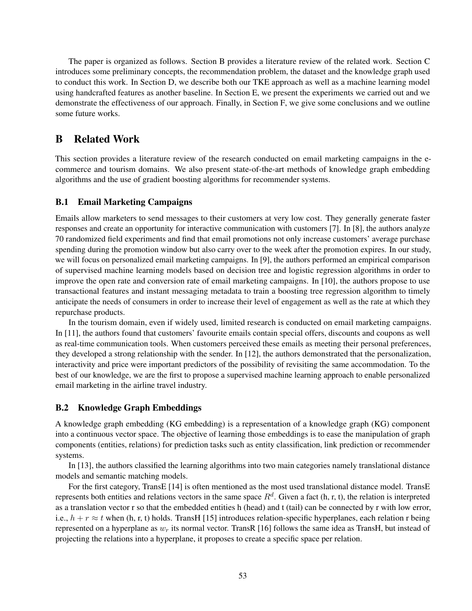The paper is organized as follows. Section B provides a literature review of the related work. Section C introduces some preliminary concepts, the recommendation problem, the dataset and the knowledge graph used to conduct this work. In Section D, we describe both our TKE approach as well as a machine learning model using handcrafted features as another baseline. In Section E, we present the experiments we carried out and we demonstrate the effectiveness of our approach. Finally, in Section F, we give some conclusions and we outline some future works.

# B Related Work

This section provides a literature review of the research conducted on email marketing campaigns in the ecommerce and tourism domains. We also present state-of-the-art methods of knowledge graph embedding algorithms and the use of gradient boosting algorithms for recommender systems.

## B.1 Email Marketing Campaigns

Emails allow marketers to send messages to their customers at very low cost. They generally generate faster responses and create an opportunity for interactive communication with customers [7]. In [8], the authors analyze 70 randomized field experiments and find that email promotions not only increase customers' average purchase spending during the promotion window but also carry over to the week after the promotion expires. In our study, we will focus on personalized email marketing campaigns. In [9], the authors performed an empirical comparison of supervised machine learning models based on decision tree and logistic regression algorithms in order to improve the open rate and conversion rate of email marketing campaigns. In [10], the authors propose to use transactional features and instant messaging metadata to train a boosting tree regression algorithm to timely anticipate the needs of consumers in order to increase their level of engagement as well as the rate at which they repurchase products.

In the tourism domain, even if widely used, limited research is conducted on email marketing campaigns. In [11], the authors found that customers' favourite emails contain special offers, discounts and coupons as well as real-time communication tools. When customers perceived these emails as meeting their personal preferences, they developed a strong relationship with the sender. In [12], the authors demonstrated that the personalization, interactivity and price were important predictors of the possibility of revisiting the same accommodation. To the best of our knowledge, we are the first to propose a supervised machine learning approach to enable personalized email marketing in the airline travel industry.

### B.2 Knowledge Graph Embeddings

A knowledge graph embedding (KG embedding) is a representation of a knowledge graph (KG) component into a continuous vector space. The objective of learning those embeddings is to ease the manipulation of graph components (entities, relations) for prediction tasks such as entity classification, link prediction or recommender systems.

In [13], the authors classified the learning algorithms into two main categories namely translational distance models and semantic matching models.

For the first category, TransE [14] is often mentioned as the most used translational distance model. TransE represents both entities and relations vectors in the same space  $R^d$ . Given a fact (h, r, t), the relation is interpreted as a translation vector r so that the embedded entities h (head) and t (tail) can be connected by r with low error, i.e.,  $h + r \approx t$  when (h, r, t) holds. TransH [15] introduces relation-specific hyperplanes, each relation r being represented on a hyperplane as  $w_r$  its normal vector. TransR [16] follows the same idea as TransH, but instead of projecting the relations into a hyperplane, it proposes to create a specific space per relation.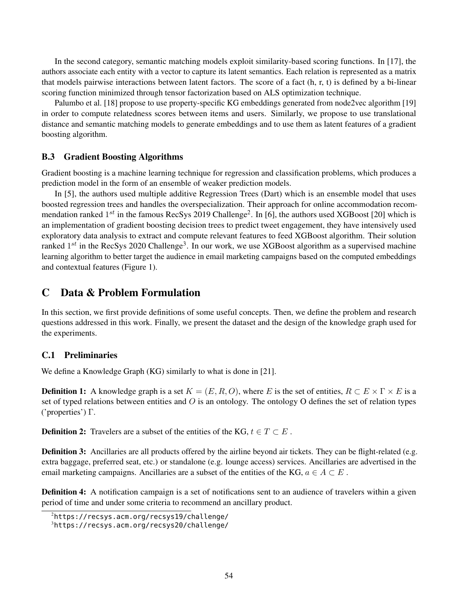In the second category, semantic matching models exploit similarity-based scoring functions. In [17], the authors associate each entity with a vector to capture its latent semantics. Each relation is represented as a matrix that models pairwise interactions between latent factors. The score of a fact (h, r, t) is defined by a bi-linear scoring function minimized through tensor factorization based on ALS optimization technique.

Palumbo et al. [18] propose to use property-specific KG embeddings generated from node2vec algorithm [19] in order to compute relatedness scores between items and users. Similarly, we propose to use translational distance and semantic matching models to generate embeddings and to use them as latent features of a gradient boosting algorithm.

### B.3 Gradient Boosting Algorithms

Gradient boosting is a machine learning technique for regression and classification problems, which produces a prediction model in the form of an ensemble of weaker prediction models.

In [5], the authors used multiple additive Regression Trees (Dart) which is an ensemble model that uses boosted regression trees and handles the overspecialization. Their approach for online accommodation recommendation ranked  $1^{st}$  in the famous RecSys 2019 Challenge<sup>2</sup>. In [6], the authors used XGBoost [20] which is an implementation of gradient boosting decision trees to predict tweet engagement, they have intensively used exploratory data analysis to extract and compute relevant features to feed XGBoost algorithm. Their solution ranked  $1^{st}$  in the RecSys 2020 Challenge<sup>3</sup>. In our work, we use XGBoost algorithm as a supervised machine learning algorithm to better target the audience in email marketing campaigns based on the computed embeddings and contextual features (Figure 1).

## C Data & Problem Formulation

In this section, we first provide definitions of some useful concepts. Then, we define the problem and research questions addressed in this work. Finally, we present the dataset and the design of the knowledge graph used for the experiments.

#### C.1 Preliminaries

We define a Knowledge Graph (KG) similarly to what is done in [21].

**Definition 1:** A knowledge graph is a set  $K = (E, R, O)$ , where E is the set of entities,  $R \subset E \times \Gamma \times E$  is a set of typed relations between entities and  $O$  is an ontology. The ontology O defines the set of relation types ('properties') Γ.

**Definition 2:** Travelers are a subset of the entities of the KG,  $t \in T \subset E$ .

**Definition 3:** Ancillaries are all products offered by the airline beyond air tickets. They can be flight-related (e.g. extra baggage, preferred seat, etc.) or standalone (e.g. lounge access) services. Ancillaries are advertised in the email marketing campaigns. Ancillaries are a subset of the entities of the KG,  $a \in A \subset E$ .

Definition 4: A notification campaign is a set of notifications sent to an audience of travelers within a given period of time and under some criteria to recommend an ancillary product.

<sup>2</sup>https://recsys.acm.org/recsys19/challenge/

<sup>3</sup>https://recsys.acm.org/recsys20/challenge/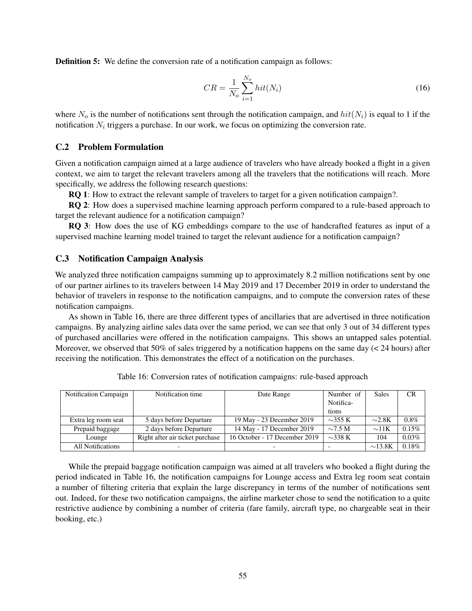**Definition 5:** We define the conversion rate of a notification campaign as follows:

$$
CR = \frac{1}{N_o} \sum_{i=1}^{N_o} hit(N_i)
$$
 (16)

where  $N_o$  is the number of notifications sent through the notification campaign, and  $hit(N_i)$  is equal to 1 if the notification  $N_i$  triggers a purchase. In our work, we focus on optimizing the conversion rate.

#### C.2 Problem Formulation

Given a notification campaign aimed at a large audience of travelers who have already booked a flight in a given context, we aim to target the relevant travelers among all the travelers that the notifications will reach. More specifically, we address the following research questions:

RQ 1: How to extract the relevant sample of travelers to target for a given notification campaign?.

RQ 2: How does a supervised machine learning approach perform compared to a rule-based approach to target the relevant audience for a notification campaign?

RQ 3: How does the use of KG embeddings compare to the use of handcrafted features as input of a supervised machine learning model trained to target the relevant audience for a notification campaign?

#### C.3 Notification Campaign Analysis

We analyzed three notification campaigns summing up to approximately 8.2 million notifications sent by one of our partner airlines to its travelers between 14 May 2019 and 17 December 2019 in order to understand the behavior of travelers in response to the notification campaigns, and to compute the conversion rates of these notification campaigns.

As shown in Table 16, there are three different types of ancillaries that are advertised in three notification campaigns. By analyzing airline sales data over the same period, we can see that only 3 out of 34 different types of purchased ancillaries were offered in the notification campaigns. This shows an untapped sales potential. Moreover, we observed that 50% of sales triggered by a notification happens on the same day (< 24 hours) after receiving the notification. This demonstrates the effect of a notification on the purchases.

| Notification Campaign    | Notification time               | Date Range                    | Number of    | Sales        | <b>CR</b> |
|--------------------------|---------------------------------|-------------------------------|--------------|--------------|-----------|
|                          |                                 |                               | Notifica-    |              |           |
|                          |                                 |                               | tions        |              |           |
| Extra leg room seat      | 5 days before Departure         | 19 May - 23 December 2019     | $\sim$ 355 K | $\sim$ 2.8K  | $0.8\%$   |
| Prepaid baggage          | 2 days before Departure         | 14 May - 17 December 2019     | $\sim$ 7.5 M | $\sim$ 11K   | $0.15\%$  |
| Lounge                   | Right after air ticket purchase | 16 October - 17 December 2019 | $\sim$ 338 K | 104          | $0.03\%$  |
| <b>All Notifications</b> |                                 |                               |              | $\sim$ 13.8K | $0.18\%$  |

Table 16: Conversion rates of notification campaigns: rule-based approach

While the prepaid baggage notification campaign was aimed at all travelers who booked a flight during the period indicated in Table 16, the notification campaigns for Lounge access and Extra leg room seat contain a number of filtering criteria that explain the large discrepancy in terms of the number of notifications sent out. Indeed, for these two notification campaigns, the airline marketer chose to send the notification to a quite restrictive audience by combining a number of criteria (fare family, aircraft type, no chargeable seat in their booking, etc.)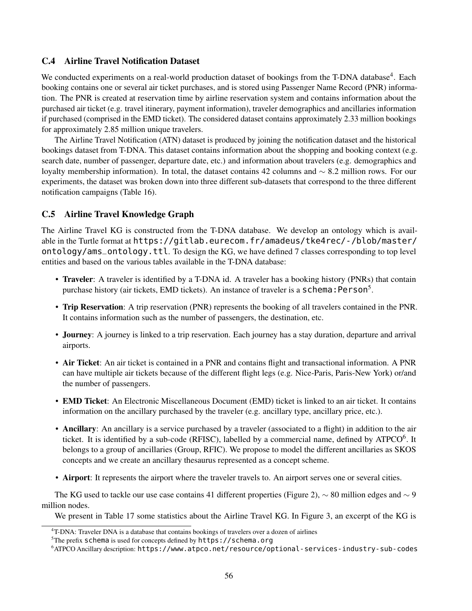## C.4 Airline Travel Notification Dataset

We conducted experiments on a real-world production dataset of bookings from the T-DNA database<sup>4</sup>. Each booking contains one or several air ticket purchases, and is stored using Passenger Name Record (PNR) information. The PNR is created at reservation time by airline reservation system and contains information about the purchased air ticket (e.g. travel itinerary, payment information), traveler demographics and ancillaries information if purchased (comprised in the EMD ticket). The considered dataset contains approximately 2.33 million bookings for approximately 2.85 million unique travelers.

The Airline Travel Notification (ATN) dataset is produced by joining the notification dataset and the historical bookings dataset from T-DNA. This dataset contains information about the shopping and booking context (e.g. search date, number of passenger, departure date, etc.) and information about travelers (e.g. demographics and loyalty membership information). In total, the dataset contains 42 columns and ∼ 8.2 million rows. For our experiments, the dataset was broken down into three different sub-datasets that correspond to the three different notification campaigns (Table 16).

## C.5 Airline Travel Knowledge Graph

The Airline Travel KG is constructed from the T-DNA database. We develop an ontology which is available in the Turtle format at https://gitlab.eurecom.fr/amadeus/tke4rec/-/blob/master/ ontology/ams\_ontology.ttl. To design the KG, we have defined 7 classes corresponding to top level entities and based on the various tables available in the T-DNA database:

- Traveler: A traveler is identified by a T-DNA id. A traveler has a booking history (PNRs) that contain purchase history (air tickets, EMD tickets). An instance of traveler is a **schema: Person**<sup>5</sup>.
- Trip Reservation: A trip reservation (PNR) represents the booking of all travelers contained in the PNR. It contains information such as the number of passengers, the destination, etc.
- Journey: A journey is linked to a trip reservation. Each journey has a stay duration, departure and arrival airports.
- Air Ticket: An air ticket is contained in a PNR and contains flight and transactional information. A PNR can have multiple air tickets because of the different flight legs (e.g. Nice-Paris, Paris-New York) or/and the number of passengers.
- EMD Ticket: An Electronic Miscellaneous Document (EMD) ticket is linked to an air ticket. It contains information on the ancillary purchased by the traveler (e.g. ancillary type, ancillary price, etc.).
- Ancillary: An ancillary is a service purchased by a traveler (associated to a flight) in addition to the air ticket. It is identified by a sub-code (RFISC), labelled by a commercial name, defined by ATPCO $^6$ . It belongs to a group of ancillaries (Group, RFIC). We propose to model the different ancillaries as SKOS concepts and we create an ancillary thesaurus represented as a concept scheme.
- Airport: It represents the airport where the traveler travels to. An airport serves one or several cities.

The KG used to tackle our use case contains 41 different properties (Figure 2), ∼ 80 million edges and ∼ 9 million nodes.

We present in Table 17 some statistics about the Airline Travel KG. In Figure 3, an excerpt of the KG is

<sup>&</sup>lt;sup>4</sup>T-DNA: Traveler DNA is a database that contains bookings of travelers over a dozen of airlines

 $5$ The prefix schema is used for concepts defined by https://schema.org

<sup>6</sup>ATPCO Ancillary description: https://www.atpco.net/resource/optional-services-industry-sub-codes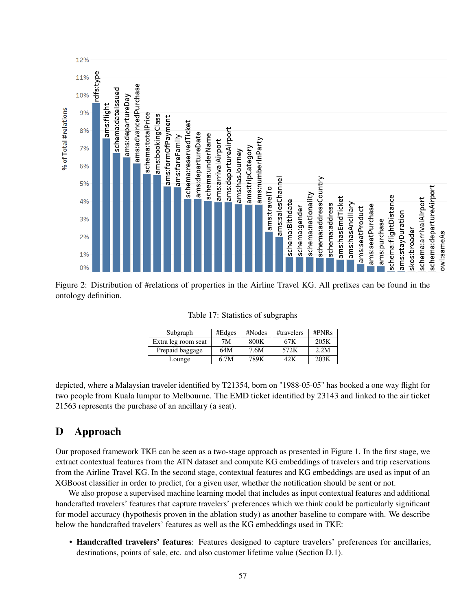

Figure 2: Distribution of #relations of properties in the Airline Travel KG. All prefixes can be found in the ontology definition.

| Subgraph            | #Edges | #Nodes | #travelers | $\#PNRs$ |  |
|---------------------|--------|--------|------------|----------|--|
| Extra leg room seat | 7Μ     | 800K   | 67K        | 205K     |  |
| Prepaid baggage     | 64M    | 7.6M   | 572K       | 2.2M     |  |
| Lounge              | 6.7M   | 789K   | 42K        | 203K     |  |

Table 17: Statistics of subgraphs

depicted, where a Malaysian traveler identified by T21354, born on "1988-05-05" has booked a one way flight for two people from Kuala lumpur to Melbourne. The EMD ticket identified by 23143 and linked to the air ticket 21563 represents the purchase of an ancillary (a seat).

# D Approach

Our proposed framework TKE can be seen as a two-stage approach as presented in Figure 1. In the first stage, we extract contextual features from the ATN dataset and compute KG embeddings of travelers and trip reservations from the Airline Travel KG. In the second stage, contextual features and KG embeddings are used as input of an XGBoost classifier in order to predict, for a given user, whether the notification should be sent or not.

We also propose a supervised machine learning model that includes as input contextual features and additional handcrafted travelers' features that capture travelers' preferences which we think could be particularly significant for model accuracy (hypothesis proven in the ablation study) as another baseline to compare with. We describe below the handcrafted travelers' features as well as the KG embeddings used in TKE:

• Handcrafted travelers' features: Features designed to capture travelers' preferences for ancillaries, destinations, points of sale, etc. and also customer lifetime value (Section D.1).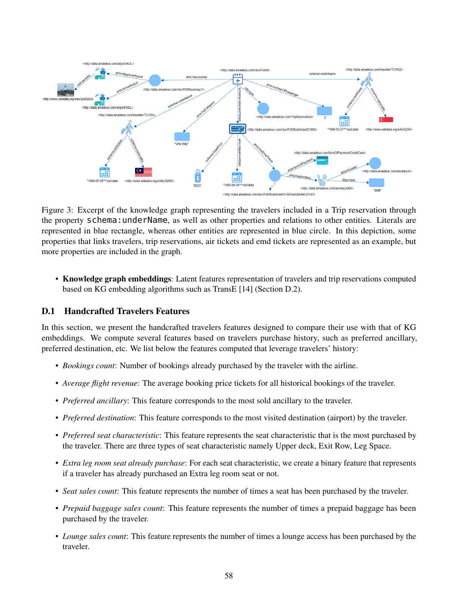

Figure 3: Excerpt of the knowledge graph representing the travelers included in a Trip reservation through the property schema:underName, as well as other properties and relations to other entities. Literals are represented in blue rectangle, whereas other entities are represented in blue circle. In this depiction, some properties that links travelers, trip reservations, air tickets and emd tickets are represented as an example, but more properties are included in the graph.

• Knowledge graph embeddings: Latent features representation of travelers and trip reservations computed based on KG embedding algorithms such as TransE [14] (Section D.2).

## D.1 Handcrafted Travelers Features

In this section, we present the handcrafted travelers features designed to compare their use with that of KG embeddings. We compute several features based on travelers purchase history, such as preferred ancillary, preferred destination, etc. We list below the features computed that leverage travelers' history:

- *Bookings count*: Number of bookings already purchased by the traveler with the airline.
- *Average flight revenue*: The average booking price tickets for all historical bookings of the traveler.
- *Preferred ancillary*: This feature corresponds to the most sold ancillary to the traveler.
- *Preferred destination*: This feature corresponds to the most visited destination (airport) by the traveler.
- *Preferred seat characteristic*: This feature represents the seat characteristic that is the most purchased by the traveler. There are three types of seat characteristic namely Upper deck, Exit Row, Leg Space.
- *Extra leg room seat already purchase*: For each seat characteristic, we create a binary feature that represents if a traveler has already purchased an Extra leg room seat or not.
- *Seat sales count*: This feature represents the number of times a seat has been purchased by the traveler.
- *Prepaid baggage sales count*: This feature represents the number of times a prepaid baggage has been purchased by the traveler.
- *Lounge sales count*: This feature represents the number of times a lounge access has been purchased by the traveler.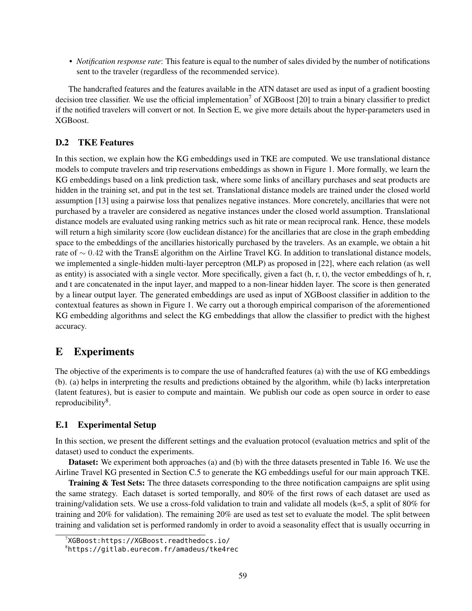• *Notification response rate*: This feature is equal to the number of sales divided by the number of notifications sent to the traveler (regardless of the recommended service).

The handcrafted features and the features available in the ATN dataset are used as input of a gradient boosting decision tree classifier. We use the official implementation<sup>7</sup> of XGBoost [20] to train a binary classifier to predict if the notified travelers will convert or not. In Section E, we give more details about the hyper-parameters used in XGBoost.

## D.2 TKE Features

In this section, we explain how the KG embeddings used in TKE are computed. We use translational distance models to compute travelers and trip reservations embeddings as shown in Figure 1. More formally, we learn the KG embeddings based on a link prediction task, where some links of ancillary purchases and seat products are hidden in the training set, and put in the test set. Translational distance models are trained under the closed world assumption [13] using a pairwise loss that penalizes negative instances. More concretely, ancillaries that were not purchased by a traveler are considered as negative instances under the closed world assumption. Translational distance models are evaluated using ranking metrics such as hit rate or mean reciprocal rank. Hence, these models will return a high similarity score (low euclidean distance) for the ancillaries that are close in the graph embedding space to the embeddings of the ancillaries historically purchased by the travelers. As an example, we obtain a hit rate of ∼ 0.42 with the TransE algorithm on the Airline Travel KG. In addition to translational distance models, we implemented a single-hidden multi-layer perceptron (MLP) as proposed in [22], where each relation (as well as entity) is associated with a single vector. More specifically, given a fact  $(h, r, t)$ , the vector embeddings of h, r, and t are concatenated in the input layer, and mapped to a non-linear hidden layer. The score is then generated by a linear output layer. The generated embeddings are used as input of XGBoost classifier in addition to the contextual features as shown in Figure 1. We carry out a thorough empirical comparison of the aforementioned KG embedding algorithms and select the KG embeddings that allow the classifier to predict with the highest accuracy.

# E Experiments

The objective of the experiments is to compare the use of handcrafted features (a) with the use of KG embeddings (b). (a) helps in interpreting the results and predictions obtained by the algorithm, while (b) lacks interpretation (latent features), but is easier to compute and maintain. We publish our code as open source in order to ease reproducibility<sup>8</sup>.

# E.1 Experimental Setup

In this section, we present the different settings and the evaluation protocol (evaluation metrics and split of the dataset) used to conduct the experiments.

Dataset: We experiment both approaches (a) and (b) with the three datasets presented in Table 16. We use the Airline Travel KG presented in Section C.5 to generate the KG embeddings useful for our main approach TKE.

Training & Test Sets: The three datasets corresponding to the three notification campaigns are split using the same strategy. Each dataset is sorted temporally, and 80% of the first rows of each dataset are used as training/validation sets. We use a cross-fold validation to train and validate all models (k=5, a split of 80% for training and 20% for validation). The remaining 20% are used as test set to evaluate the model. The split between training and validation set is performed randomly in order to avoid a seasonality effect that is usually occurring in

<sup>7</sup>XGBoost:https://XGBoost.readthedocs.io/

<sup>8</sup>https://gitlab.eurecom.fr/amadeus/tke4rec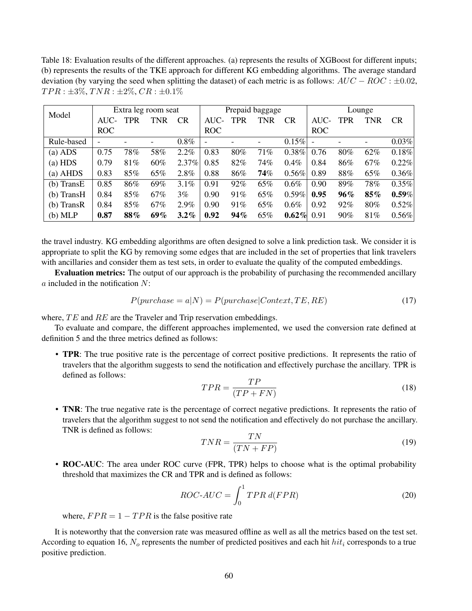Table 18: Evaluation results of the different approaches. (a) represents the results of XGBoost for different inputs; (b) represents the results of the TKE approach for different KG embedding algorithms. The average standard deviation (by varying the seed when splitting the dataset) of each metric is as follows:  $AUC - ROC : \pm 0.02$ ,  $TPR: \pm 3\%, TNR: \pm 2\%, CR: \pm 0.1\%$ 

|              | Extra leg room seat      |     |     | Prepaid baggage |            |            | Lounge                   |           |            |            |            |           |
|--------------|--------------------------|-----|-----|-----------------|------------|------------|--------------------------|-----------|------------|------------|------------|-----------|
| Model        | $AUC-$                   | TPR | TNR | <b>CR</b>       | AUC-       | <b>TPR</b> | <b>TNR</b>               | <b>CR</b> | $AUC-$     | <b>TPR</b> | <b>TNR</b> | <b>CR</b> |
|              | <b>ROC</b>               |     |     |                 | <b>ROC</b> |            |                          |           | <b>ROC</b> |            |            |           |
| Rule-based   | $\overline{\phantom{a}}$ |     |     | $0.8\%$         |            |            | $\overline{\phantom{a}}$ | $0.15\%$  |            |            |            | 0.03%     |
| $(a)$ ADS    | 0.75                     | 78% | 58% | 2.2%            | 0.83       | 80%        | 71%                      | $0.38\%$  | 0.76       | 80%        | 62%        | $0.18\%$  |
| $(a)$ HDS    | 0.79                     | 81% | 60% | 2.37%           | 0.85       | 82%        | 74%                      | $0.4\%$   | 0.84       | 86%        | 67%        | 0.22%     |
| $(a)$ AHDS   | 0.83                     | 85% | 65% | 2.8%            | 0.88       | 86%        | 74%                      | $0.56\%$  | 0.89       | $88\%$     | 65%        | $0.36\%$  |
| (b) TransE   | 0.85                     | 86% | 69% | 3.1%            | 0.91       | 92%        | 65%                      | $0.6\%$   | 0.90       | 89%        | 78%        | $0.35\%$  |
| $(b)$ TransH | 0.84                     | 85% | 67% | $3\%$           | 0.90       | 91%        | 65%                      | 0.59%     | 0.95       | 96%        | 85%        | $0.59\%$  |
| $(b)$ TransR | 0.84                     | 85% | 67% | $2.9\%$         | 0.90       | 91%        | 65%                      | $0.6\%$   | 0.92       | 92%        | 80%        | $0.52\%$  |
| (b) MLP      | 0.87                     | 88% | 69% | $3.2\%$         | 0.92       | 94%        | 65%                      | $0.62\%$  | 0.91       | $90\%$     | 81%        | $0.56\%$  |

the travel industry. KG embedding algorithms are often designed to solve a link prediction task. We consider it is appropriate to split the KG by removing some edges that are included in the set of properties that link travelers with ancillaries and consider them as test sets, in order to evaluate the quality of the computed embeddings.

Evaluation metrics: The output of our approach is the probability of purchasing the recommended ancillary  $\alpha$  included in the notification  $N$ :

$$
P(purchase = a|N) = P(purchase|Context, TE, RE)
$$
\n
$$
(17)
$$

where,  $TE$  and  $RE$  are the Traveler and Trip reservation embeddings.

To evaluate and compare, the different approaches implemented, we used the conversion rate defined at definition 5 and the three metrics defined as follows:

• TPR: The true positive rate is the percentage of correct positive predictions. It represents the ratio of travelers that the algorithm suggests to send the notification and effectively purchase the ancillary. TPR is defined as follows:

$$
TPR = \frac{TP}{(TP + FN)}
$$
\n<sup>(18)</sup>

• TNR: The true negative rate is the percentage of correct negative predictions. It represents the ratio of travelers that the algorithm suggest to not send the notification and effectively do not purchase the ancillary. TNR is defined as follows:

$$
TNR = \frac{TN}{(TN + FP)}
$$
\n<sup>(19)</sup>

• ROC-AUC: The area under ROC curve (FPR, TPR) helps to choose what is the optimal probability threshold that maximizes the CR and TPR and is defined as follows:

$$
ROC-AUC = \int_0^1 TPR \, d(FPR) \tag{20}
$$

where,  $FPR = 1 - TPR$  is the false positive rate

It is noteworthy that the conversion rate was measured offline as well as all the metrics based on the test set. According to equation 16,  $N_o$  represents the number of predicted positives and each hit  $hit_i$  corresponds to a true positive prediction.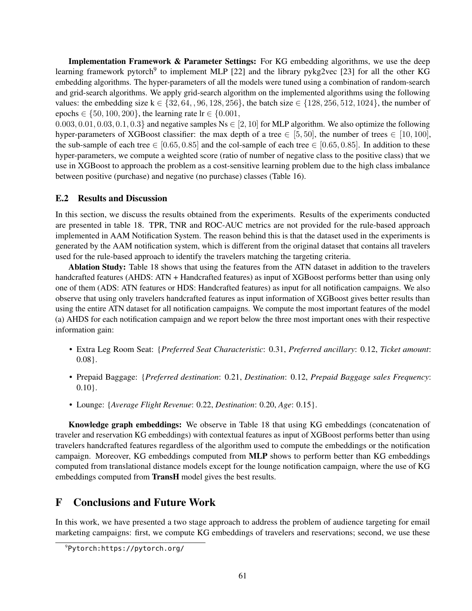Implementation Framework & Parameter Settings: For KG embedding algorithms, we use the deep learning framework pytorch<sup>9</sup> to implement MLP [22] and the library pykg2vec [23] for all the other KG embedding algorithms. The hyper-parameters of all the models were tuned using a combination of random-search and grid-search algorithms. We apply grid-search algorithm on the implemented algorithms using the following values: the embedding size  $k \in \{32, 64, 96, 128, 256\}$ , the batch size  $\in \{128, 256, 512, 1024\}$ , the number of epochs  $\in \{50, 100, 200\}$ , the learning rate  $\text{lr} \in \{0.001,$ 

 $0.003, 0.01, 0.03, 0.1, 0.3$  and negative samples Ns  $\in [2, 10]$  for MLP algorithm. We also optimize the following hyper-parameters of XGBoost classifier: the max depth of a tree  $\in [5, 50]$ , the number of trees  $\in [10, 100]$ , the sub-sample of each tree  $\in [0.65, 0.85]$  and the col-sample of each tree  $\in [0.65, 0.85]$ . In addition to these hyper-parameters, we compute a weighted score (ratio of number of negative class to the positive class) that we use in XGBoost to approach the problem as a cost-sensitive learning problem due to the high class imbalance between positive (purchase) and negative (no purchase) classes (Table 16).

#### E.2 Results and Discussion

In this section, we discuss the results obtained from the experiments. Results of the experiments conducted are presented in table 18. TPR, TNR and ROC-AUC metrics are not provided for the rule-based approach implemented in AAM Notification System. The reason behind this is that the dataset used in the experiments is generated by the AAM notification system, which is different from the original dataset that contains all travelers used for the rule-based approach to identify the travelers matching the targeting criteria.

Ablation Study: Table 18 shows that using the features from the ATN dataset in addition to the travelers handcrafted features (AHDS: ATN + Handcrafted features) as input of XGBoost performs better than using only one of them (ADS: ATN features or HDS: Handcrafted features) as input for all notification campaigns. We also observe that using only travelers handcrafted features as input information of XGBoost gives better results than using the entire ATN dataset for all notification campaigns. We compute the most important features of the model (a) AHDS for each notification campaign and we report below the three most important ones with their respective information gain:

- Extra Leg Room Seat: {*Preferred Seat Characteristic*: 0.31, *Preferred ancillary*: 0.12, *Ticket amount*: 0.08}.
- Prepaid Baggage: {*Preferred destination*: 0.21, *Destination*: 0.12, *Prepaid Baggage sales Frequency*:  $0.10$ .
- Lounge: {*Average Flight Revenue*: 0.22, *Destination*: 0.20, *Age*: 0.15}.

Knowledge graph embeddings: We observe in Table 18 that using KG embeddings (concatenation of traveler and reservation KG embeddings) with contextual features as input of XGBoost performs better than using travelers handcrafted features regardless of the algorithm used to compute the embeddings or the notification campaign. Moreover, KG embeddings computed from MLP shows to perform better than KG embeddings computed from translational distance models except for the lounge notification campaign, where the use of KG embeddings computed from TransH model gives the best results.

# F Conclusions and Future Work

In this work, we have presented a two stage approach to address the problem of audience targeting for email marketing campaigns: first, we compute KG embeddings of travelers and reservations; second, we use these

<sup>9</sup>Pytorch:https://pytorch.org/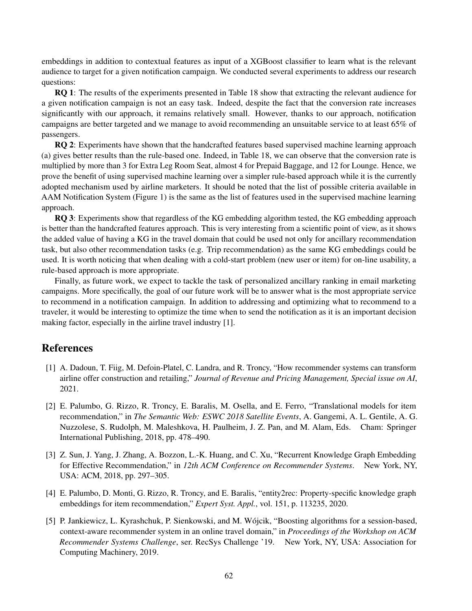embeddings in addition to contextual features as input of a XGBoost classifier to learn what is the relevant audience to target for a given notification campaign. We conducted several experiments to address our research questions:

RQ 1: The results of the experiments presented in Table 18 show that extracting the relevant audience for a given notification campaign is not an easy task. Indeed, despite the fact that the conversion rate increases significantly with our approach, it remains relatively small. However, thanks to our approach, notification campaigns are better targeted and we manage to avoid recommending an unsuitable service to at least 65% of passengers.

RO 2: Experiments have shown that the handcrafted features based supervised machine learning approach (a) gives better results than the rule-based one. Indeed, in Table 18, we can observe that the conversion rate is multiplied by more than 3 for Extra Leg Room Seat, almost 4 for Prepaid Baggage, and 12 for Lounge. Hence, we prove the benefit of using supervised machine learning over a simpler rule-based approach while it is the currently adopted mechanism used by airline marketers. It should be noted that the list of possible criteria available in AAM Notification System (Figure 1) is the same as the list of features used in the supervised machine learning approach.

RQ 3: Experiments show that regardless of the KG embedding algorithm tested, the KG embedding approach is better than the handcrafted features approach. This is very interesting from a scientific point of view, as it shows the added value of having a KG in the travel domain that could be used not only for ancillary recommendation task, but also other recommendation tasks (e.g. Trip recommendation) as the same KG embeddings could be used. It is worth noticing that when dealing with a cold-start problem (new user or item) for on-line usability, a rule-based approach is more appropriate.

Finally, as future work, we expect to tackle the task of personalized ancillary ranking in email marketing campaigns. More specifically, the goal of our future work will be to answer what is the most appropriate service to recommend in a notification campaign. In addition to addressing and optimizing what to recommend to a traveler, it would be interesting to optimize the time when to send the notification as it is an important decision making factor, especially in the airline travel industry [1].

# References

- [1] A. Dadoun, T. Fiig, M. Defoin-Platel, C. Landra, and R. Troncy, "How recommender systems can transform airline offer construction and retailing," *Journal of Revenue and Pricing Management, Special issue on AI*, 2021.
- [2] E. Palumbo, G. Rizzo, R. Troncy, E. Baralis, M. Osella, and E. Ferro, "Translational models for item recommendation," in *The Semantic Web: ESWC 2018 Satellite Events*, A. Gangemi, A. L. Gentile, A. G. Nuzzolese, S. Rudolph, M. Maleshkova, H. Paulheim, J. Z. Pan, and M. Alam, Eds. Cham: Springer International Publishing, 2018, pp. 478–490.
- [3] Z. Sun, J. Yang, J. Zhang, A. Bozzon, L.-K. Huang, and C. Xu, "Recurrent Knowledge Graph Embedding for Effective Recommendation," in *12th ACM Conference on Recommender Systems*. New York, NY, USA: ACM, 2018, pp. 297–305.
- [4] E. Palumbo, D. Monti, G. Rizzo, R. Troncy, and E. Baralis, "entity2rec: Property-specific knowledge graph embeddings for item recommendation," *Expert Syst. Appl.*, vol. 151, p. 113235, 2020.
- [5] P. Jankiewicz, L. Kyrashchuk, P. Sienkowski, and M. Wójcik, "Boosting algorithms for a session-based, context-aware recommender system in an online travel domain," in *Proceedings of the Workshop on ACM Recommender Systems Challenge*, ser. RecSys Challenge '19. New York, NY, USA: Association for Computing Machinery, 2019.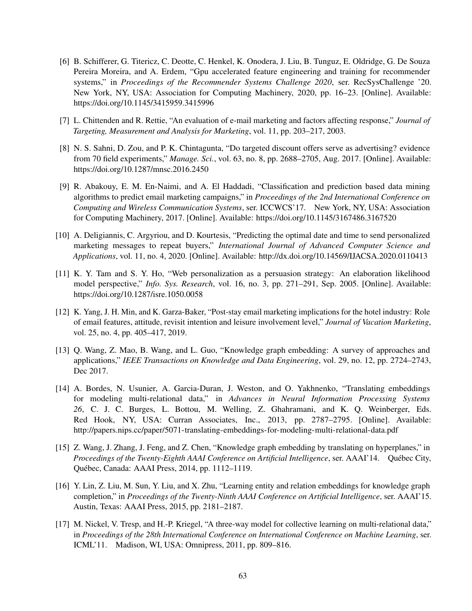- [6] B. Schifferer, G. Titericz, C. Deotte, C. Henkel, K. Onodera, J. Liu, B. Tunguz, E. Oldridge, G. De Souza Pereira Moreira, and A. Erdem, "Gpu accelerated feature engineering and training for recommender systems," in *Proceedings of the Recommender Systems Challenge 2020*, ser. RecSysChallenge '20. New York, NY, USA: Association for Computing Machinery, 2020, pp. 16–23. [Online]. Available: https://doi.org/10.1145/3415959.3415996
- [7] L. Chittenden and R. Rettie, "An evaluation of e-mail marketing and factors affecting response," *Journal of Targeting, Measurement and Analysis for Marketing*, vol. 11, pp. 203–217, 2003.
- [8] N. S. Sahni, D. Zou, and P. K. Chintagunta, "Do targeted discount offers serve as advertising? evidence from 70 field experiments," *Manage. Sci.*, vol. 63, no. 8, pp. 2688–2705, Aug. 2017. [Online]. Available: https://doi.org/10.1287/mnsc.2016.2450
- [9] R. Abakouy, E. M. En-Naimi, and A. El Haddadi, "Classification and prediction based data mining algorithms to predict email marketing campaigns," in *Proceedings of the 2nd International Conference on Computing and Wireless Communication Systems*, ser. ICCWCS'17. New York, NY, USA: Association for Computing Machinery, 2017. [Online]. Available: https://doi.org/10.1145/3167486.3167520
- [10] A. Deligiannis, C. Argyriou, and D. Kourtesis, "Predicting the optimal date and time to send personalized marketing messages to repeat buyers," *International Journal of Advanced Computer Science and Applications*, vol. 11, no. 4, 2020. [Online]. Available: http://dx.doi.org/10.14569/IJACSA.2020.0110413
- [11] K. Y. Tam and S. Y. Ho, "Web personalization as a persuasion strategy: An elaboration likelihood model perspective," *Info. Sys. Research*, vol. 16, no. 3, pp. 271–291, Sep. 2005. [Online]. Available: https://doi.org/10.1287/isre.1050.0058
- [12] K. Yang, J. H. Min, and K. Garza-Baker, "Post-stay email marketing implications for the hotel industry: Role of email features, attitude, revisit intention and leisure involvement level," *Journal of Vacation Marketing*, vol. 25, no. 4, pp. 405–417, 2019.
- [13] Q. Wang, Z. Mao, B. Wang, and L. Guo, "Knowledge graph embedding: A survey of approaches and applications," *IEEE Transactions on Knowledge and Data Engineering*, vol. 29, no. 12, pp. 2724–2743, Dec 2017.
- [14] A. Bordes, N. Usunier, A. Garcia-Duran, J. Weston, and O. Yakhnenko, "Translating embeddings for modeling multi-relational data," in *Advances in Neural Information Processing Systems 26*, C. J. C. Burges, L. Bottou, M. Welling, Z. Ghahramani, and K. Q. Weinberger, Eds. Red Hook, NY, USA: Curran Associates, Inc., 2013, pp. 2787–2795. [Online]. Available: http://papers.nips.cc/paper/5071-translating-embeddings-for-modeling-multi-relational-data.pdf
- [15] Z. Wang, J. Zhang, J. Feng, and Z. Chen, "Knowledge graph embedding by translating on hyperplanes," in *Proceedings of the Twenty-Eighth AAAI Conference on Artificial Intelligence*, ser. AAAI'14. Québec City, Québec, Canada: AAAI Press, 2014, pp. 1112–1119.
- [16] Y. Lin, Z. Liu, M. Sun, Y. Liu, and X. Zhu, "Learning entity and relation embeddings for knowledge graph completion," in *Proceedings of the Twenty-Ninth AAAI Conference on Artificial Intelligence*, ser. AAAI'15. Austin, Texas: AAAI Press, 2015, pp. 2181–2187.
- [17] M. Nickel, V. Tresp, and H.-P. Kriegel, "A three-way model for collective learning on multi-relational data," in *Proceedings of the 28th International Conference on International Conference on Machine Learning*, ser. ICML'11. Madison, WI, USA: Omnipress, 2011, pp. 809–816.